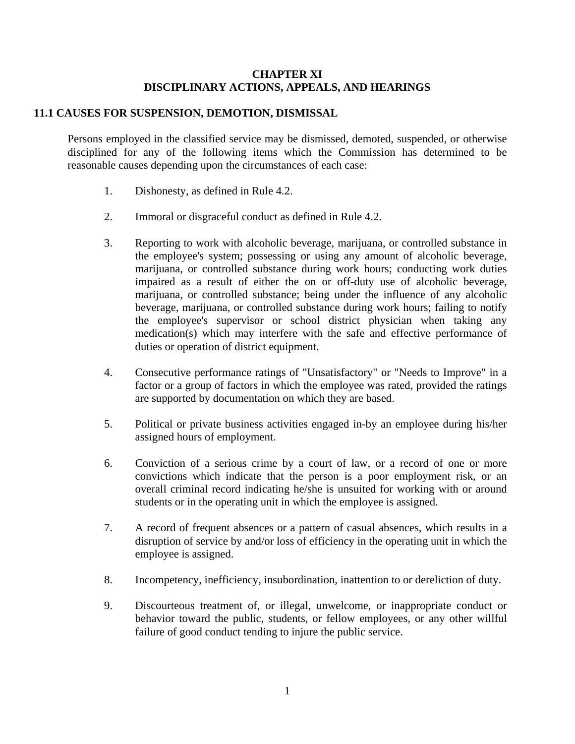### **CHAPTER XI DISCIPLINARY ACTIONS, APPEALS, AND HEARINGS**

## **11.1 CAUSES FOR SUSPENSION, DEMOTION, DISMISSAL**

Persons employed in the classified service may be dismissed, demoted, suspended, or otherwise disciplined for any of the following items which the Commission has determined to be reasonable causes depending upon the circumstances of each case:

- 1. Dishonesty, as defined in Rule 4.2.
- 2. Immoral or disgraceful conduct as defined in Rule 4.2.
- 3. Reporting to work with alcoholic beverage, marijuana, or controlled substance in the employee's system; possessing or using any amount of alcoholic beverage, marijuana, or controlled substance during work hours; conducting work duties impaired as a result of either the on or off-duty use of alcoholic beverage, marijuana, or controlled substance; being under the influence of any alcoholic beverage, marijuana, or controlled substance during work hours; failing to notify the employee's supervisor or school district physician when taking any medication(s) which may interfere with the safe and effective performance of duties or operation of district equipment.
- 4. Consecutive performance ratings of "Unsatisfactory" or "Needs to Improve" in a factor or a group of factors in which the employee was rated, provided the ratings are supported by documentation on which they are based.
- 5. Political or private business activities engaged in-by an employee during his/her assigned hours of employment.
- 6. Conviction of a serious crime by a court of law, or a record of one or more convictions which indicate that the person is a poor employment risk, or an overall criminal record indicating he/she is unsuited for working with or around students or in the operating unit in which the employee is assigned.
- 7. A record of frequent absences or a pattern of casual absences, which results in a disruption of service by and/or loss of efficiency in the operating unit in which the employee is assigned.
- 8. Incompetency, inefficiency, insubordination, inattention to or dereliction of duty.
- 9. Discourteous treatment of, or illegal, unwelcome, or inappropriate conduct or behavior toward the public, students, or fellow employees, or any other willful failure of good conduct tending to injure the public service.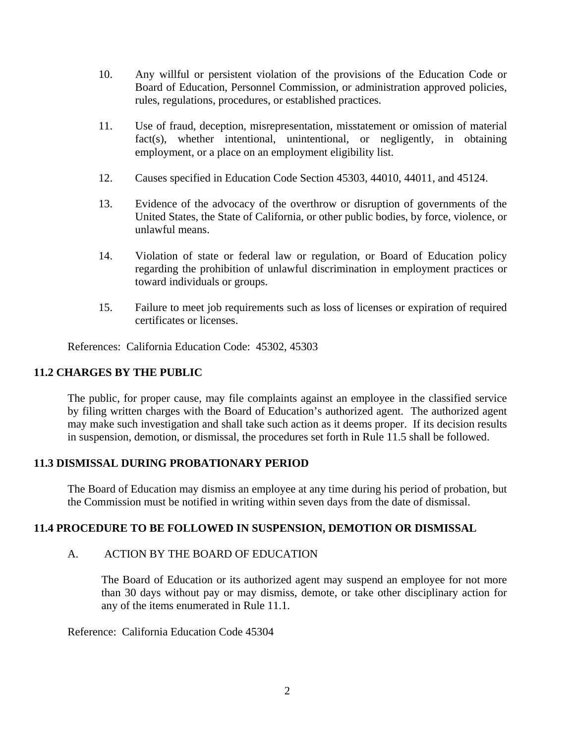- 10. Any willful or persistent violation of the provisions of the Education Code or Board of Education, Personnel Commission, or administration approved policies, rules, regulations, procedures, or established practices.
- 11. Use of fraud, deception, misrepresentation, misstatement or omission of material fact(s), whether intentional, unintentional, or negligently, in obtaining employment, or a place on an employment eligibility list.
- 12. Causes specified in Education Code Section 45303, 44010, 44011, and 45124.
- 13. Evidence of the advocacy of the overthrow or disruption of governments of the United States, the State of California, or other public bodies, by force, violence, or unlawful means.
- 14. Violation of state or federal law or regulation, or Board of Education policy regarding the prohibition of unlawful discrimination in employment practices or toward individuals or groups.
- 15. Failure to meet job requirements such as loss of licenses or expiration of required certificates or licenses.

References: California Education Code: 45302, 45303

# **11.2 CHARGES BY THE PUBLIC**

The public, for proper cause, may file complaints against an employee in the classified service by filing written charges with the Board of Education's authorized agent. The authorized agent may make such investigation and shall take such action as it deems proper. If its decision results in suspension, demotion, or dismissal, the procedures set forth in Rule 11.5 shall be followed.

### **11.3 DISMISSAL DURING PROBATIONARY PERIOD**

The Board of Education may dismiss an employee at any time during his period of probation, but the Commission must be notified in writing within seven days from the date of dismissal.

### **11.4 PROCEDURE TO BE FOLLOWED IN SUSPENSION, DEMOTION OR DISMISSAL**

### A. ACTION BY THE BOARD OF EDUCATION

The Board of Education or its authorized agent may suspend an employee for not more than 30 days without pay or may dismiss, demote, or take other disciplinary action for any of the items enumerated in Rule 11.1.

Reference: California Education Code 45304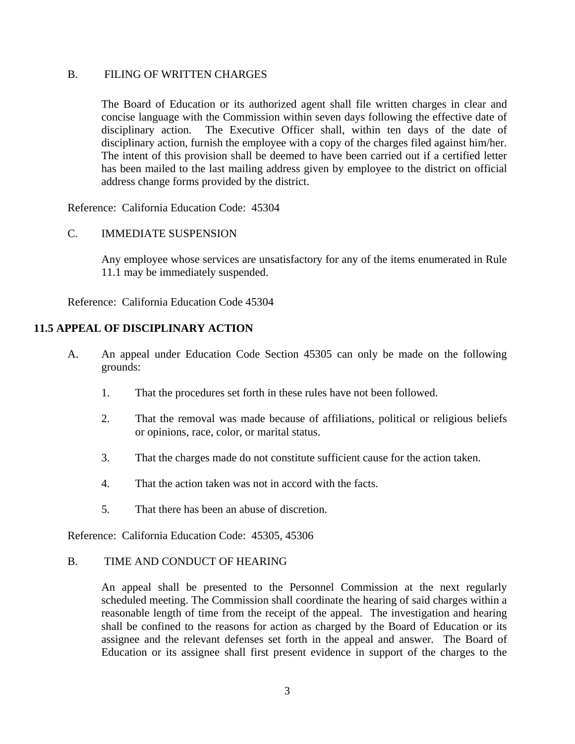### B. FILING OF WRITTEN CHARGES

The Board of Education or its authorized agent shall file written charges in clear and concise language with the Commission within seven days following the effective date of disciplinary action. The Executive Officer shall, within ten days of the date of disciplinary action, furnish the employee with a copy of the charges filed against him/her. The intent of this provision shall be deemed to have been carried out if a certified letter has been mailed to the last mailing address given by employee to the district on official address change forms provided by the district.

Reference: California Education Code: 45304

### C. IMMEDIATE SUSPENSION

Any employee whose services are unsatisfactory for any of the items enumerated in Rule 11.1 may be immediately suspended.

Reference: California Education Code 45304

## **11.5 APPEAL OF DISCIPLINARY ACTION**

- A. An appeal under Education Code Section 45305 can only be made on the following grounds:
	- 1. That the procedures set forth in these rules have not been followed.
	- 2. That the removal was made because of affiliations, political or religious beliefs or opinions, race, color, or marital status.
	- 3. That the charges made do not constitute sufficient cause for the action taken.
	- 4. That the action taken was not in accord with the facts.
	- 5. That there has been an abuse of discretion.

Reference: California Education Code: 45305, 45306

#### B. TIME AND CONDUCT OF HEARING

An appeal shall be presented to the Personnel Commission at the next regularly scheduled meeting. The Commission shall coordinate the hearing of said charges within a reasonable length of time from the receipt of the appeal. The investigation and hearing shall be confined to the reasons for action as charged by the Board of Education or its assignee and the relevant defenses set forth in the appeal and answer. The Board of Education or its assignee shall first present evidence in support of the charges to the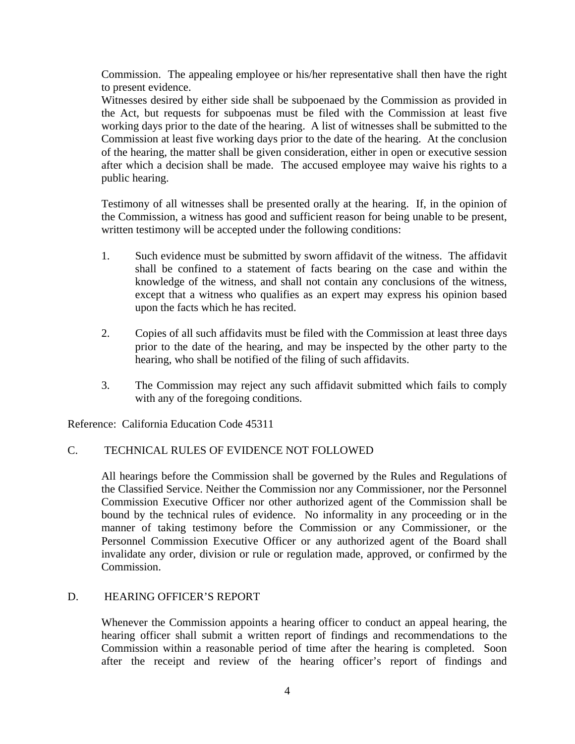Commission. The appealing employee or his/her representative shall then have the right to present evidence.

Witnesses desired by either side shall be subpoenaed by the Commission as provided in the Act, but requests for subpoenas must be filed with the Commission at least five working days prior to the date of the hearing. A list of witnesses shall be submitted to the Commission at least five working days prior to the date of the hearing. At the conclusion of the hearing, the matter shall be given consideration, either in open or executive session after which a decision shall be made. The accused employee may waive his rights to a public hearing.

Testimony of all witnesses shall be presented orally at the hearing. If, in the opinion of the Commission, a witness has good and sufficient reason for being unable to be present, written testimony will be accepted under the following conditions:

- 1. Such evidence must be submitted by sworn affidavit of the witness. The affidavit shall be confined to a statement of facts bearing on the case and within the knowledge of the witness, and shall not contain any conclusions of the witness, except that a witness who qualifies as an expert may express his opinion based upon the facts which he has recited.
- 2. Copies of all such affidavits must be filed with the Commission at least three days prior to the date of the hearing, and may be inspected by the other party to the hearing, who shall be notified of the filing of such affidavits.
- 3. The Commission may reject any such affidavit submitted which fails to comply with any of the foregoing conditions.

Reference: California Education Code 45311

# C. TECHNICAL RULES OF EVIDENCE NOT FOLLOWED

All hearings before the Commission shall be governed by the Rules and Regulations of the Classified Service. Neither the Commission nor any Commissioner, nor the Personnel Commission Executive Officer nor other authorized agent of the Commission shall be bound by the technical rules of evidence. No informality in any proceeding or in the manner of taking testimony before the Commission or any Commissioner, or the Personnel Commission Executive Officer or any authorized agent of the Board shall invalidate any order, division or rule or regulation made, approved, or confirmed by the Commission.

### D. HEARING OFFICER'S REPORT

Whenever the Commission appoints a hearing officer to conduct an appeal hearing, the hearing officer shall submit a written report of findings and recommendations to the Commission within a reasonable period of time after the hearing is completed. Soon after the receipt and review of the hearing officer's report of findings and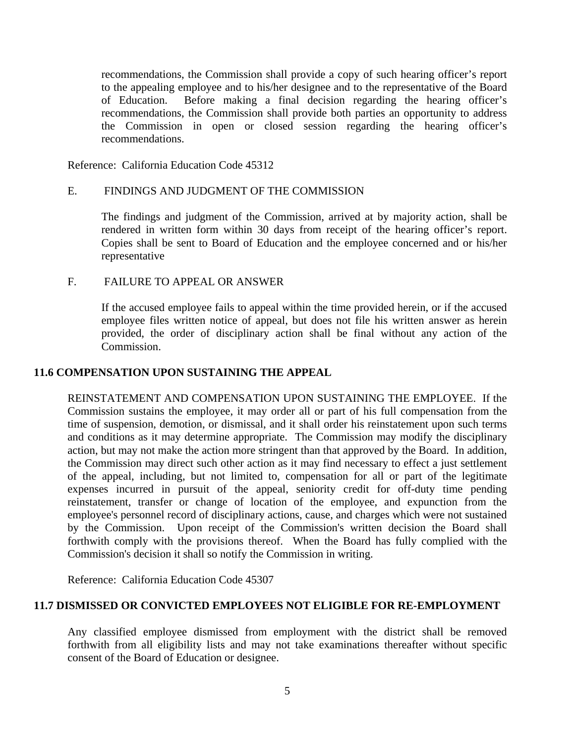recommendations, the Commission shall provide a copy of such hearing officer's report to the appealing employee and to his/her designee and to the representative of the Board of Education. Before making a final decision regarding the hearing officer's recommendations, the Commission shall provide both parties an opportunity to address the Commission in open or closed session regarding the hearing officer's recommendations.

Reference: California Education Code 45312

### E. FINDINGS AND JUDGMENT OF THE COMMISSION

The findings and judgment of the Commission, arrived at by majority action, shall be rendered in written form within 30 days from receipt of the hearing officer's report. Copies shall be sent to Board of Education and the employee concerned and or his/her representative

### F. FAILURE TO APPEAL OR ANSWER

If the accused employee fails to appeal within the time provided herein, or if the accused employee files written notice of appeal, but does not file his written answer as herein provided, the order of disciplinary action shall be final without any action of the Commission.

### **11.6 COMPENSATION UPON SUSTAINING THE APPEAL**

REINSTATEMENT AND COMPENSATION UPON SUSTAINING THE EMPLOYEE. If the Commission sustains the employee, it may order all or part of his full compensation from the time of suspension, demotion, or dismissal, and it shall order his reinstatement upon such terms and conditions as it may determine appropriate. The Commission may modify the disciplinary action, but may not make the action more stringent than that approved by the Board. In addition, the Commission may direct such other action as it may find necessary to effect a just settlement of the appeal, including, but not limited to, compensation for all or part of the legitimate expenses incurred in pursuit of the appeal, seniority credit for off-duty time pending reinstatement, transfer or change of location of the employee, and expunction from the employee's personnel record of disciplinary actions, cause, and charges which were not sustained by the Commission. Upon receipt of the Commission's written decision the Board shall forthwith comply with the provisions thereof. When the Board has fully complied with the Commission's decision it shall so notify the Commission in writing.

Reference: California Education Code 45307

## **11.7 DISMISSED OR CONVICTED EMPLOYEES NOT ELIGIBLE FOR RE-EMPLOYMENT**

Any classified employee dismissed from employment with the district shall be removed forthwith from all eligibility lists and may not take examinations thereafter without specific consent of the Board of Education or designee.